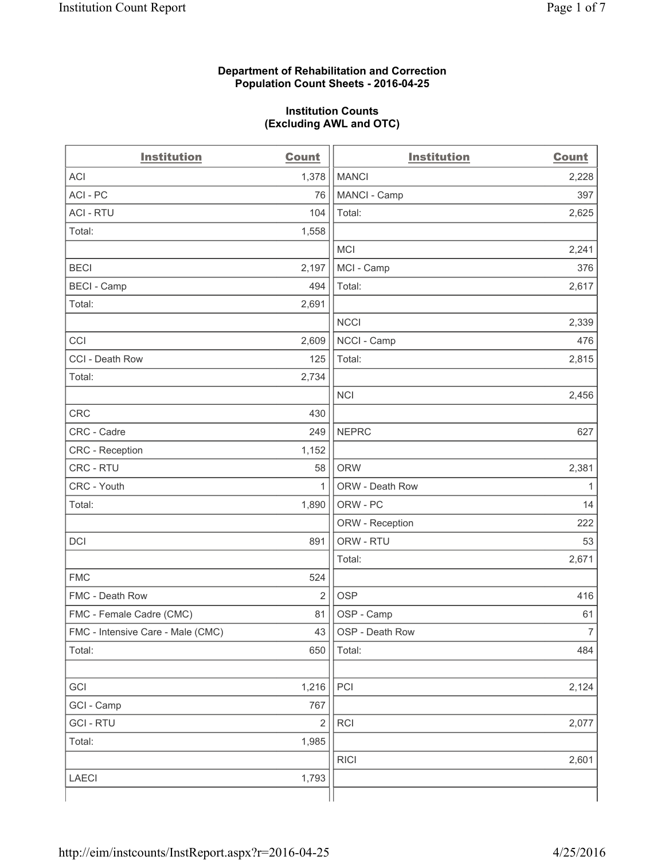### **Department of Rehabilitation and Correction Population Count Sheets - 2016-04-25**

### **Institution Counts (Excluding AWL and OTC)**

| <b>Institution</b>                | <b>Count</b>   | <b>Institution</b> | <b>Count</b>   |
|-----------------------------------|----------------|--------------------|----------------|
| <b>ACI</b>                        | 1,378          | <b>MANCI</b>       | 2,228          |
| ACI-PC                            | 76             | MANCI - Camp       | 397            |
| <b>ACI - RTU</b>                  | 104            | Total:             | 2,625          |
| Total:                            | 1,558          |                    |                |
|                                   |                | <b>MCI</b>         | 2,241          |
| <b>BECI</b>                       | 2,197          | MCI - Camp         | 376            |
| <b>BECI - Camp</b>                | 494            | Total:             | 2,617          |
| Total:                            | 2,691          |                    |                |
|                                   |                | <b>NCCI</b>        | 2,339          |
| CCI                               | 2,609          | NCCI - Camp        | 476            |
| CCI - Death Row                   | 125            | Total:             | 2,815          |
| Total:                            | 2,734          |                    |                |
|                                   |                | <b>NCI</b>         | 2,456          |
| <b>CRC</b>                        | 430            |                    |                |
| CRC - Cadre                       | 249            | <b>NEPRC</b>       | 627            |
| CRC - Reception                   | 1,152          |                    |                |
| CRC - RTU                         | 58             | <b>ORW</b>         | 2,381          |
| CRC - Youth                       | 1              | ORW - Death Row    | 1              |
| Total:                            | 1,890          | ORW - PC           | 14             |
|                                   |                | ORW - Reception    | 222            |
| DCI                               | 891            | ORW - RTU          | 53             |
|                                   |                | Total:             | 2,671          |
| <b>FMC</b>                        | 524            |                    |                |
| FMC - Death Row                   | $\overline{2}$ | <b>OSP</b>         | 416            |
| FMC - Female Cadre (CMC)          | 81             | OSP - Camp         | 61             |
| FMC - Intensive Care - Male (CMC) | 43             | OSP - Death Row    | $\overline{7}$ |
| Total:                            | 650            | Total:             | 484            |
|                                   |                |                    |                |
| GCI                               | 1,216          | PCI                | 2,124          |
| GCI - Camp                        | 767            |                    |                |
| <b>GCI-RTU</b>                    | $\sqrt{2}$     | RCI                | 2,077          |
| Total:                            | 1,985          |                    |                |
|                                   |                | <b>RICI</b>        | 2,601          |
| <b>LAECI</b>                      | 1,793          |                    |                |
|                                   |                |                    |                |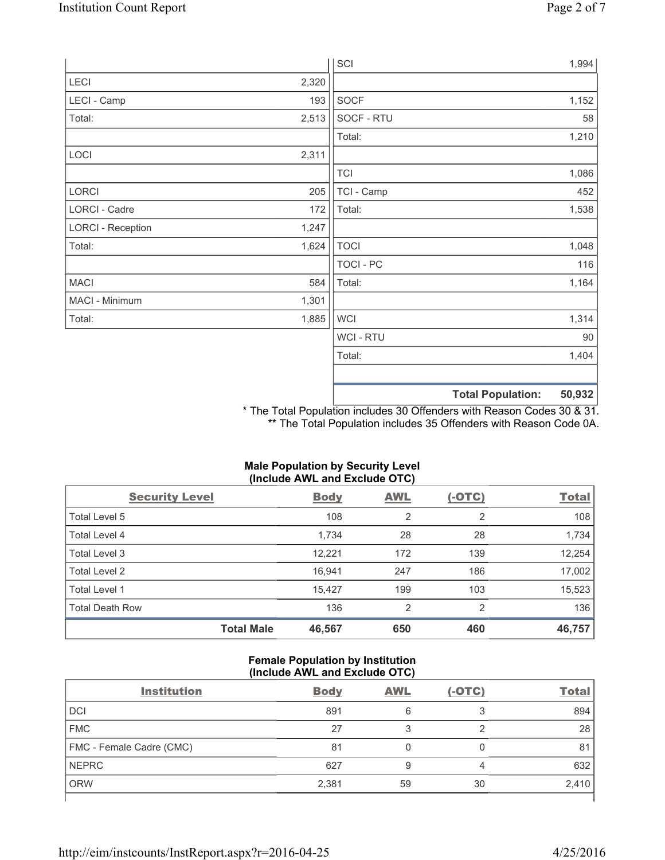|                          |       | SCI            |                          | 1,994  |
|--------------------------|-------|----------------|--------------------------|--------|
| LECI                     | 2,320 |                |                          |        |
| LECI - Camp              | 193   | SOCF           |                          | 1,152  |
| Total:                   | 2,513 | SOCF - RTU     |                          | 58     |
|                          |       | Total:         |                          | 1,210  |
| LOCI                     | 2,311 |                |                          |        |
|                          |       | <b>TCI</b>     |                          | 1,086  |
| LORCI                    | 205   | TCI - Camp     |                          | 452    |
| LORCI - Cadre            | 172   | Total:         |                          | 1,538  |
| <b>LORCI - Reception</b> | 1,247 |                |                          |        |
| Total:                   | 1,624 | <b>TOCI</b>    |                          | 1,048  |
|                          |       | TOCI - PC      |                          | 116    |
| <b>MACI</b>              | 584   | Total:         |                          | 1,164  |
| MACI - Minimum           | 1,301 |                |                          |        |
| Total:                   | 1,885 | <b>WCI</b>     |                          | 1,314  |
|                          |       | <b>WCI-RTU</b> |                          | 90     |
|                          |       | Total:         |                          | 1,404  |
|                          |       |                |                          |        |
|                          |       |                | <b>Total Population:</b> | 50,932 |

\* The Total Population includes 30 Offenders with Reason Codes 30 & 31. \*\* The Total Population includes 35 Offenders with Reason Code 0A.

# **Male Population by Security Level (Include AWL and Exclude OTC)**

| <b>Security Level</b>  |                   | <b>Body</b> | AWL            | $(-OTC)$       | <b>Total</b> |
|------------------------|-------------------|-------------|----------------|----------------|--------------|
| Total Level 5          |                   | 108         | $\overline{2}$ | $\overline{2}$ | 108          |
| Total Level 4          |                   | 1,734       | 28             | 28             | 1,734        |
| Total Level 3          |                   | 12,221      | 172            | 139            | 12,254       |
| Total Level 2          |                   | 16.941      | 247            | 186            | 17,002       |
| Total Level 1          |                   | 15.427      | 199            | 103            | 15,523       |
| <b>Total Death Row</b> |                   | 136         | 2              | 2              | 136          |
|                        | <b>Total Male</b> | 46,567      | 650            | 460            | 46,757       |

## **Female Population by Institution (Include AWL and Exclude OTC)**

| <b>Institution</b>       | <b>Body</b> | <b>AWL</b> | $(-OTC)$ | <b>Total</b> |
|--------------------------|-------------|------------|----------|--------------|
| <b>DCI</b>               | 891         | 6          |          | 894          |
| <b>FMC</b>               | 27          |            |          | 28           |
| FMC - Female Cadre (CMC) | 81          |            |          | 81           |
| <b>NEPRC</b>             | 627         | 9          | 4        | 632          |
| <b>ORW</b>               | 2,381       | 59         | 30       | 2,410        |
|                          |             |            |          |              |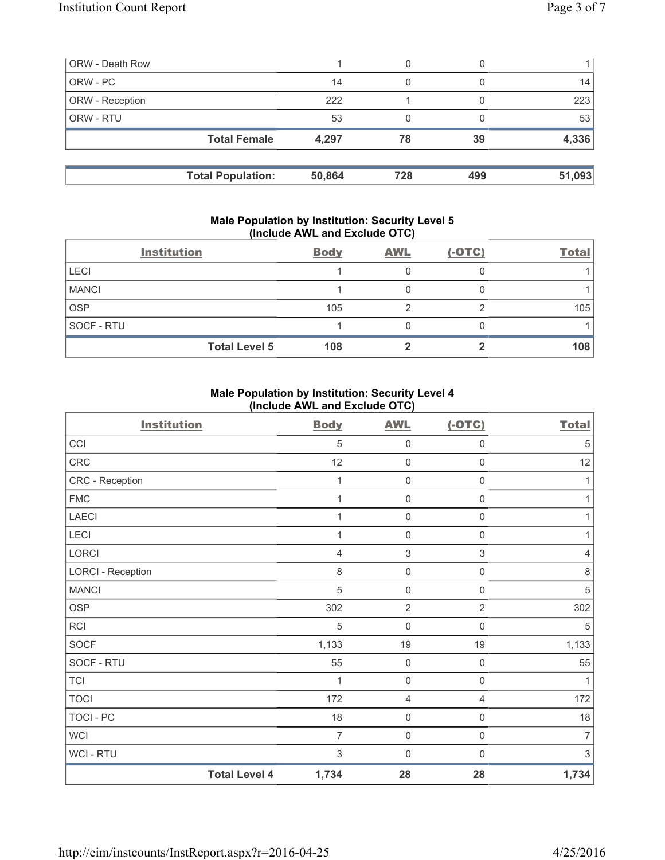| <b>ORW - Death Row</b> |                          |        | 0   |     |        |
|------------------------|--------------------------|--------|-----|-----|--------|
| ORW - PC               |                          | 14     | 0   |     | 14     |
| ORW - Reception        |                          | 222    |     |     | 223    |
| ORW - RTU              |                          | 53     |     |     | 53     |
|                        | <b>Total Female</b>      | 4,297  | 78  | 39  | 4,336  |
|                        | <b>Total Population:</b> | 50,864 | 728 | 499 | 51,093 |

### **Male Population by Institution: Security Level 5 (Include AWL and Exclude OTC)**

|              | <b>Institution</b>   | <b>Body</b> | <b>AWL</b> | $(-OTC)$ | <b>Total</b> |
|--------------|----------------------|-------------|------------|----------|--------------|
| <b>LECI</b>  |                      |             |            |          |              |
| <b>MANCI</b> |                      |             |            |          |              |
| <b>OSP</b>   |                      | 105         |            |          | 105          |
| SOCF - RTU   |                      |             |            |          |              |
|              | <b>Total Level 5</b> | 108         |            |          | 108          |

## **Male Population by Institution: Security Level 4 (Include AWL and Exclude OTC)**

| <b>Institution</b>       |                      | <b>Body</b>    | <b>AWL</b>          | $(-OTC)$            | <b>Total</b> |
|--------------------------|----------------------|----------------|---------------------|---------------------|--------------|
| CCI                      |                      | $\sqrt{5}$     | $\mathsf{O}\xspace$ | $\mathsf{O}\xspace$ | $\sqrt{5}$   |
| CRC                      |                      | 12             | $\mathsf{O}\xspace$ | $\mathsf{O}\xspace$ | 12           |
| CRC - Reception          |                      | 1              | $\mathbf 0$         | $\mathsf{0}$        | 1            |
| <b>FMC</b>               |                      | 1              | $\mathbf 0$         | 0                   | 1            |
| <b>LAECI</b>             |                      | 1              | $\mathbf 0$         | $\mathsf{O}\xspace$ | 1            |
| LECI                     |                      | 1              | $\mathbf 0$         | $\mathbf 0$         | 1            |
| LORCI                    |                      | 4              | 3                   | 3                   | 4            |
| <b>LORCI - Reception</b> |                      | 8              | $\mathbf 0$         | $\mathsf{O}\xspace$ | $\,8\,$      |
| <b>MANCI</b>             |                      | $\sqrt{5}$     | $\mathsf{O}\xspace$ | $\mathsf{0}$        | $\sqrt{5}$   |
| <b>OSP</b>               |                      | 302            | $\overline{2}$      | $\overline{2}$      | 302          |
| <b>RCI</b>               |                      | $\sqrt{5}$     | $\mathbf 0$         | $\mathbf 0$         | $\sqrt{5}$   |
| <b>SOCF</b>              |                      | 1,133          | 19                  | 19                  | 1,133        |
| SOCF - RTU               |                      | 55             | $\mathbf 0$         | $\mathsf 0$         | 55           |
| <b>TCI</b>               |                      | 1              | $\mathsf{O}\xspace$ | $\mathsf{O}\xspace$ | 1            |
| <b>TOCI</b>              |                      | 172            | $\overline{4}$      | 4                   | 172          |
| <b>TOCI - PC</b>         |                      | 18             | $\mathsf{O}\xspace$ | 0                   | 18           |
| <b>WCI</b>               |                      | $\overline{7}$ | $\mathbf 0$         | $\mathsf{O}\xspace$ | 7            |
| <b>WCI - RTU</b>         |                      | 3              | $\mathbf 0$         | $\mathbf 0$         | 3            |
|                          | <b>Total Level 4</b> | 1,734          | 28                  | 28                  | 1,734        |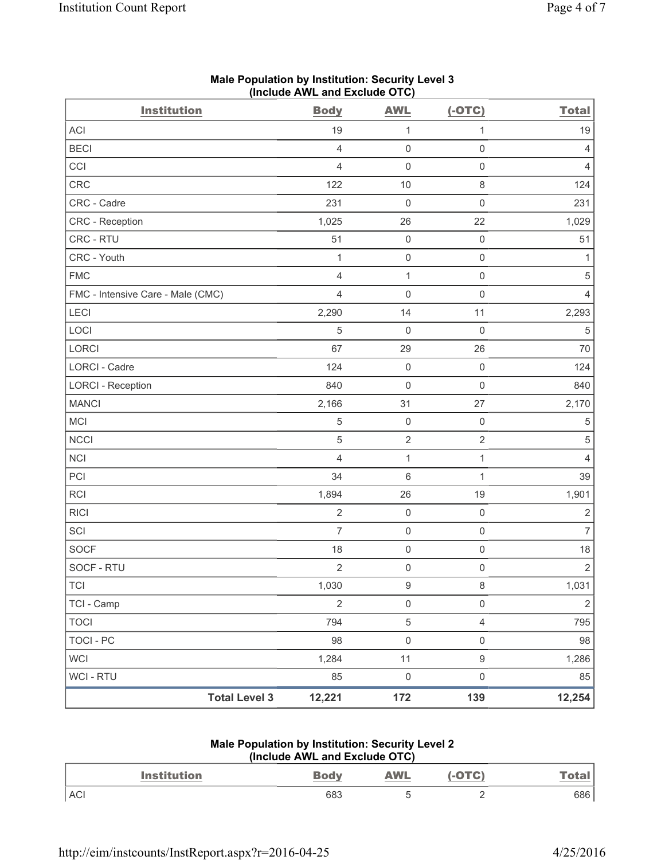| <b>Institution</b>                | <b>Body</b>    | <b>AWL</b>          | $(-OTC)$            | <b>Total</b>   |
|-----------------------------------|----------------|---------------------|---------------------|----------------|
| <b>ACI</b>                        | 19             | $\mathbf{1}$        | 1                   | 19             |
| <b>BECI</b>                       | $\overline{4}$ | $\mathsf{O}\xspace$ | $\mathsf{O}\xspace$ | 4              |
| CCI                               | $\overline{4}$ | $\mathsf{O}\xspace$ | $\mathsf{O}\xspace$ | 4              |
| CRC                               | 122            | 10                  | $\,8\,$             | 124            |
| CRC - Cadre                       | 231            | $\mathsf{O}\xspace$ | $\mathsf{O}\xspace$ | 231            |
| CRC - Reception                   | 1,025          | 26                  | 22                  | 1,029          |
| CRC - RTU                         | 51             | $\mathsf{O}\xspace$ | $\mathsf 0$         | 51             |
| CRC - Youth                       | 1              | $\mathsf{O}\xspace$ | $\mathsf 0$         | 1              |
| <b>FMC</b>                        | $\overline{4}$ | $\mathbf{1}$        | $\mathsf{O}\xspace$ | 5              |
| FMC - Intensive Care - Male (CMC) | $\overline{4}$ | $\mathbf 0$         | $\mathsf 0$         | 4              |
| LECI                              | 2,290          | 14                  | 11                  | 2,293          |
| LOCI                              | 5              | $\mathsf{O}\xspace$ | $\mathsf 0$         | 5              |
| LORCI                             | 67             | 29                  | 26                  | 70             |
| LORCI - Cadre                     | 124            | $\mathsf{O}\xspace$ | $\mathsf 0$         | 124            |
| <b>LORCI - Reception</b>          | 840            | $\mathsf{O}\xspace$ | $\mathsf 0$         | 840            |
| <b>MANCI</b>                      | 2,166          | 31                  | 27                  | 2,170          |
| MCI                               | 5              | $\mathsf{O}\xspace$ | $\mathsf 0$         | 5              |
| <b>NCCI</b>                       | $\sqrt{5}$     | $\sqrt{2}$          | $\sqrt{2}$          | $\,$ 5 $\,$    |
| <b>NCI</b>                        | $\overline{4}$ | $\mathbf{1}$        | $\mathbf{1}$        | $\overline{4}$ |
| PCI                               | 34             | 6                   | 1                   | 39             |
| <b>RCI</b>                        | 1,894          | 26                  | 19                  | 1,901          |
| <b>RICI</b>                       | $\overline{2}$ | $\mathsf{O}\xspace$ | $\mathsf 0$         | $\mathbf 2$    |
| SCI                               | $\overline{7}$ | $\mathsf{O}\xspace$ | $\mathsf 0$         | $\overline{7}$ |
| <b>SOCF</b>                       | 18             | $\mathsf{O}\xspace$ | $\mathsf{O}\xspace$ | 18             |
| SOCF - RTU                        | $\sqrt{2}$     | $\mathsf{O}\xspace$ | $\mathsf{O}\xspace$ | $\sqrt{2}$     |
| TCI                               | 1,030          | $\boldsymbol{9}$    | $\,8\,$             | 1,031          |
| TCI - Camp                        | $\overline{2}$ | $\mathsf{O}\xspace$ | $\mathsf{O}\xspace$ | $\sqrt{2}$     |
| <b>TOCI</b>                       | 794            | $\,$ 5 $\,$         | $\overline{4}$      | 795            |
| <b>TOCI - PC</b>                  | 98             | $\mathsf{O}\xspace$ | $\mathsf{O}\xspace$ | 98             |
| <b>WCI</b>                        | 1,284          | 11                  | $\boldsymbol{9}$    | 1,286          |
| WCI - RTU                         | 85             | $\mathsf{O}\xspace$ | $\mathsf{O}\xspace$ | 85             |
| <b>Total Level 3</b>              | 12,221         | 172                 | 139                 | 12,254         |

# **Male Population by Institution: Security Level 3 (Include AWL and Exclude OTC)**

## **Male Population by Institution: Security Level 2 (Include AWL and Exclude OTC)**

| Institution | <u>⊿ody</u> | <b>AWL</b> | $\bigcap$ | <u>i vtal</u> |
|-------------|-------------|------------|-----------|---------------|
| <b>ACI</b>  | 683         |            |           | 686           |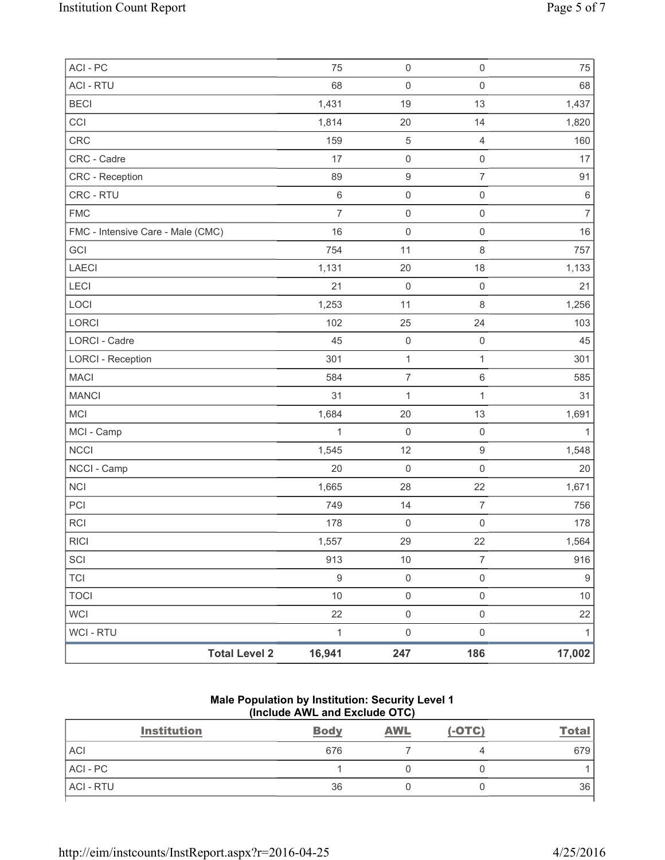| <b>Total Level 2</b>              | 16,941           | 247                 | 186                 | 17,002           |
|-----------------------------------|------------------|---------------------|---------------------|------------------|
| <b>WCI - RTU</b>                  | $\mathbf{1}$     | $\mathsf 0$         | $\mathsf 0$         | 1                |
| <b>WCI</b>                        | 22               | $\mathsf{O}\xspace$ | $\mathsf 0$         | 22               |
| <b>TOCI</b>                       | $10$             | $\mathsf{0}$        | $\mathsf 0$         | $10$             |
| <b>TCI</b>                        | $\boldsymbol{9}$ | $\mathsf 0$         | $\mathsf{O}\xspace$ | $\boldsymbol{9}$ |
| SCI                               | 913              | 10                  | $\overline{7}$      | 916              |
| RICI                              | 1,557            | 29                  | 22                  | 1,564            |
| <b>RCI</b>                        | 178              | $\mathsf{O}\xspace$ | $\mathsf 0$         | 178              |
| PCI                               | 749              | 14                  | $\overline{7}$      | 756              |
| <b>NCI</b>                        | 1,665            | 28                  | 22                  | 1,671            |
| NCCI - Camp                       | 20               | $\mathbf 0$         | $\mathsf{O}\xspace$ | 20               |
| <b>NCCI</b>                       | 1,545            | 12                  | $\boldsymbol{9}$    | 1,548            |
| MCI - Camp                        | $\mathbf{1}$     | $\mathsf 0$         | $\mathsf 0$         | 1                |
| MCI                               | 1,684            | 20                  | 13                  | 1,691            |
| <b>MANCI</b>                      | 31               | $\mathbf 1$         | $\mathbf{1}$        | 31               |
| <b>MACI</b>                       | 584              | $\overline{7}$      | $\,6\,$             | 585              |
| <b>LORCI - Reception</b>          | 301              | $\mathbf{1}$        | 1                   | 301              |
| LORCI - Cadre                     | 45               | $\mathsf{O}\xspace$ | $\mathbf 0$         | 45               |
| LORCI                             | 102              | 25                  | 24                  | 103              |
| LOCI                              | 1,253            | 11                  | $\,8\,$             | 1,256            |
| LECI                              | 21               | $\mathsf{O}\xspace$ | $\mathsf{O}\xspace$ | 21               |
| LAECI                             | 1,131            | 20                  | 18                  | 1,133            |
| GCI                               | 754              | 11                  | $\,8\,$             | 757              |
| FMC - Intensive Care - Male (CMC) | 16               | $\mathsf{O}\xspace$ | $\mathsf 0$         | 16               |
| <b>FMC</b>                        | $\overline{7}$   | $\mathsf{O}\xspace$ | $\mathsf 0$         | $\overline{7}$   |
| CRC - RTU                         | $\,6\,$          | $\mathsf{O}\xspace$ | $\mathsf 0$         | $\,6\,$          |
| CRC - Reception                   | 89               | $\boldsymbol{9}$    | $\overline{7}$      | 91               |
| CRC - Cadre                       | 17               | $\mathsf{O}\xspace$ | $\mathsf 0$         | 17               |
| CRC                               | 159              | $\sqrt{5}$          | $\overline{4}$      | 160              |
| CCI                               | 1,814            | 20                  | 14                  | 1,820            |
| <b>BECI</b>                       | 1,431            | 19                  | 13                  | 1,437            |
| <b>ACI - RTU</b>                  | 68               | $\mathsf{O}\xspace$ | $\mathsf 0$         | 68               |
| ACI - PC                          | 75               | $\mathsf{O}\xspace$ | $\mathsf{O}\xspace$ | 75               |

# **Male Population by Institution: Security Level 1 (Include AWL and Exclude OTC)**

| <b>Institution</b> | <b>Body</b> | <b>AWL</b> | $(-OTC)$ | <b>Total</b> |
|--------------------|-------------|------------|----------|--------------|
| <b>ACI</b>         | 676         |            |          | 679          |
| ACI-PC             |             |            |          |              |
| <b>ACI - RTU</b>   | 36          |            |          | 36           |